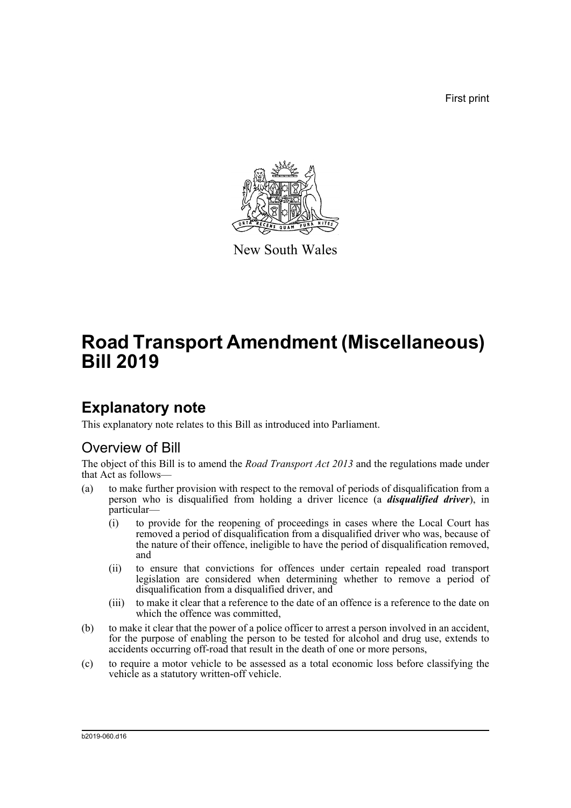First print



New South Wales

# **Road Transport Amendment (Miscellaneous) Bill 2019**

# **Explanatory note**

This explanatory note relates to this Bill as introduced into Parliament.

# Overview of Bill

The object of this Bill is to amend the *Road Transport Act 2013* and the regulations made under that Act as follows—

- (a) to make further provision with respect to the removal of periods of disqualification from a person who is disqualified from holding a driver licence (a *disqualified driver*), in particular—
	- (i) to provide for the reopening of proceedings in cases where the Local Court has removed a period of disqualification from a disqualified driver who was, because of the nature of their offence, ineligible to have the period of disqualification removed, and
	- (ii) to ensure that convictions for offences under certain repealed road transport legislation are considered when determining whether to remove a period of disqualification from a disqualified driver, and
	- (iii) to make it clear that a reference to the date of an offence is a reference to the date on which the offence was committed,
- (b) to make it clear that the power of a police officer to arrest a person involved in an accident, for the purpose of enabling the person to be tested for alcohol and drug use, extends to accidents occurring off-road that result in the death of one or more persons,
- (c) to require a motor vehicle to be assessed as a total economic loss before classifying the vehicle as a statutory written-off vehicle.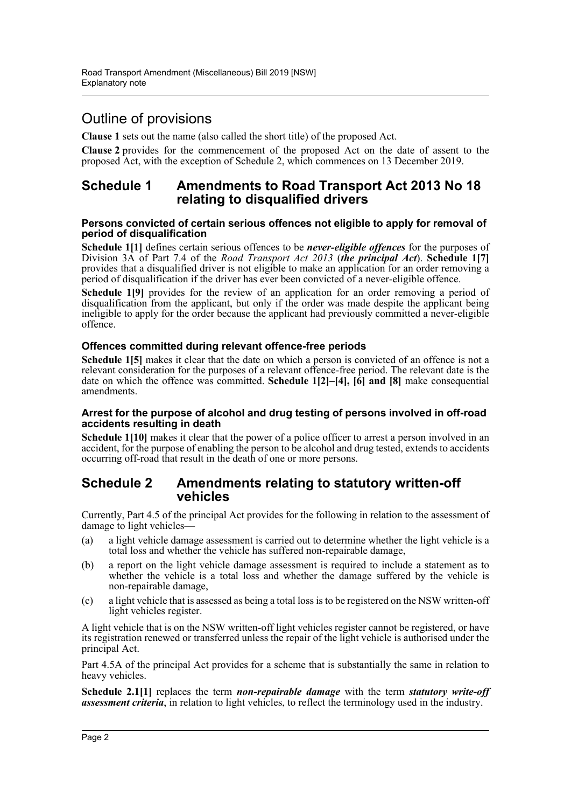# Outline of provisions

**Clause 1** sets out the name (also called the short title) of the proposed Act.

**Clause 2** provides for the commencement of the proposed Act on the date of assent to the proposed Act, with the exception of Schedule 2, which commences on 13 December 2019.

## **Schedule 1 Amendments to Road Transport Act 2013 No 18 relating to disqualified drivers**

#### **Persons convicted of certain serious offences not eligible to apply for removal of period of disqualification**

**Schedule 1[1]** defines certain serious offences to be *never-eligible offences* for the purposes of Division 3A of Part 7.4 of the *Road Transport Act 2013* (*the principal Act*). **Schedule 1[7]** provides that a disqualified driver is not eligible to make an application for an order removing a period of disqualification if the driver has ever been convicted of a never-eligible offence.

**Schedule 1[9]** provides for the review of an application for an order removing a period of disqualification from the applicant, but only if the order was made despite the applicant being ineligible to apply for the order because the applicant had previously committed a never-eligible offence.

### **Offences committed during relevant offence-free periods**

Schedule 1<sup>[5]</sup> makes it clear that the date on which a person is convicted of an offence is not a relevant consideration for the purposes of a relevant offence-free period. The relevant date is the date on which the offence was committed. **Schedule 1[2]–[4], [6] and [8]** make consequential amendments.

#### **Arrest for the purpose of alcohol and drug testing of persons involved in off-road accidents resulting in death**

**Schedule 1[10]** makes it clear that the power of a police officer to arrest a person involved in an accident, for the purpose of enabling the person to be alcohol and drug tested, extends to accidents occurring off-road that result in the death of one or more persons.

## **Schedule 2 Amendments relating to statutory written-off vehicles**

Currently, Part 4.5 of the principal Act provides for the following in relation to the assessment of damage to light vehicles—

- (a) a light vehicle damage assessment is carried out to determine whether the light vehicle is a total loss and whether the vehicle has suffered non-repairable damage,
- (b) a report on the light vehicle damage assessment is required to include a statement as to whether the vehicle is a total loss and whether the damage suffered by the vehicle is non-repairable damage,
- (c) a light vehicle that is assessed as being a total loss is to be registered on the NSW written-off light vehicles register.

A light vehicle that is on the NSW written-off light vehicles register cannot be registered, or have its registration renewed or transferred unless the repair of the light vehicle is authorised under the principal Act.

Part 4.5A of the principal Act provides for a scheme that is substantially the same in relation to heavy vehicles.

**Schedule 2.1[1]** replaces the term *non-repairable damage* with the term *statutory write-off assessment criteria*, in relation to light vehicles, to reflect the terminology used in the industry.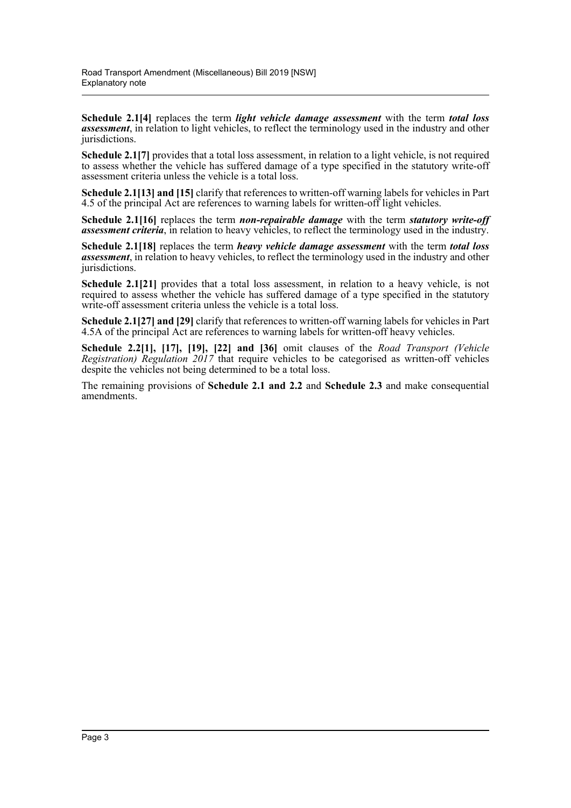**Schedule 2.1[4]** replaces the term *light vehicle damage assessment* with the term *total loss assessment*, in relation to light vehicles, to reflect the terminology used in the industry and other jurisdictions.

**Schedule 2.1[7]** provides that a total loss assessment, in relation to a light vehicle, is not required to assess whether the vehicle has suffered damage of a type specified in the statutory write-off assessment criteria unless the vehicle is a total loss.

**Schedule 2.1[13] and [15]** clarify that references to written-off warning labels for vehicles in Part 4.5 of the principal Act are references to warning labels for written-off light vehicles.

**Schedule 2.1[16]** replaces the term *non-repairable damage* with the term *statutory write-off assessment criteria*, in relation to heavy vehicles, to reflect the terminology used in the industry.

**Schedule 2.1[18]** replaces the term *heavy vehicle damage assessment* with the term *total loss assessment*, in relation to heavy vehicles, to reflect the terminology used in the industry and other jurisdictions.

**Schedule 2.1[21]** provides that a total loss assessment, in relation to a heavy vehicle, is not required to assess whether the vehicle has suffered damage of a type specified in the statutory write-off assessment criteria unless the vehicle is a total loss.

**Schedule 2.1[27] and [29]** clarify that references to written-off warning labels for vehicles in Part 4.5A of the principal Act are references to warning labels for written-off heavy vehicles.

**Schedule 2.2[1], [17], [19], [22] and [36]** omit clauses of the *Road Transport (Vehicle Registration) Regulation 2017* that require vehicles to be categorised as written-off vehicles despite the vehicles not being determined to be a total loss.

The remaining provisions of **Schedule 2.1 and 2.2** and **Schedule 2.3** and make consequential amendments.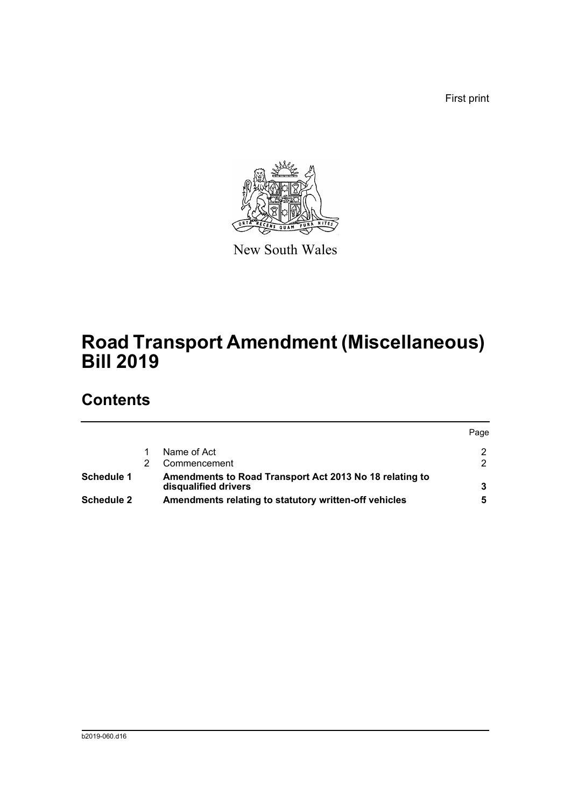First print



New South Wales

# **Road Transport Amendment (Miscellaneous) Bill 2019**

# **Contents**

|            |                                                                                 | Page |
|------------|---------------------------------------------------------------------------------|------|
|            | Name of Act                                                                     |      |
|            | Commencement                                                                    |      |
| Schedule 1 | Amendments to Road Transport Act 2013 No 18 relating to<br>disqualified drivers |      |
| Schedule 2 | Amendments relating to statutory written-off vehicles                           |      |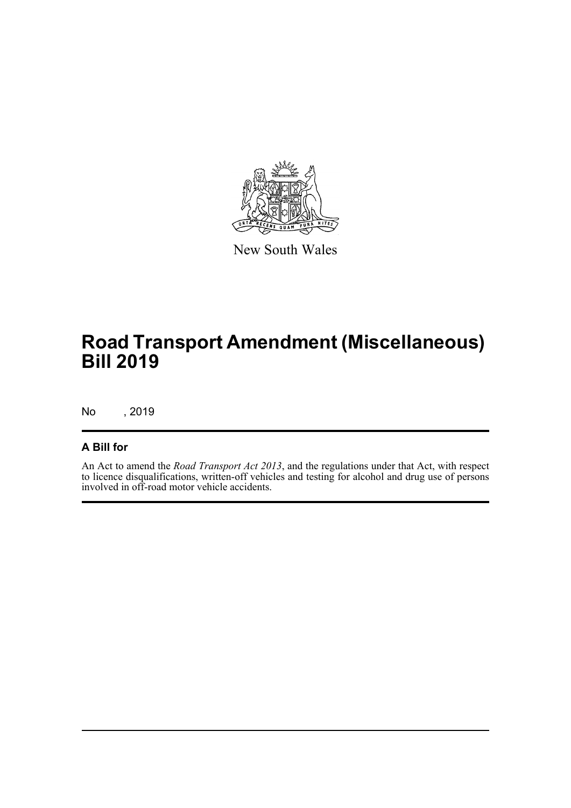

New South Wales

# **Road Transport Amendment (Miscellaneous) Bill 2019**

No , 2019

## **A Bill for**

An Act to amend the *Road Transport Act 2013*, and the regulations under that Act, with respect to licence disqualifications, written-off vehicles and testing for alcohol and drug use of persons involved in off-road motor vehicle accidents.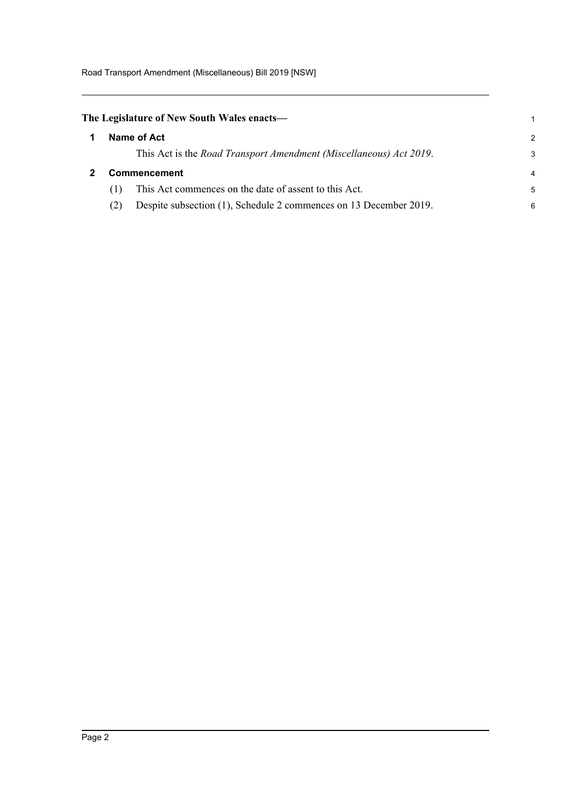Road Transport Amendment (Miscellaneous) Bill 2019 [NSW]

# <span id="page-5-0"></span>**The Legislature of New South Wales enacts—**

<span id="page-5-1"></span>

| 1 | Name of Act<br>This Act is the <i>Road Transport Amendment (Miscellaneous) Act 2019</i> . | 2<br>3         |
|---|-------------------------------------------------------------------------------------------|----------------|
| 2 | <b>Commencement</b>                                                                       | $\overline{4}$ |
|   | This Act commences on the date of assent to this Act.                                     | 5              |
|   | Despite subsection (1), Schedule 2 commences on 13 December 2019.<br>(2)                  | 6              |

1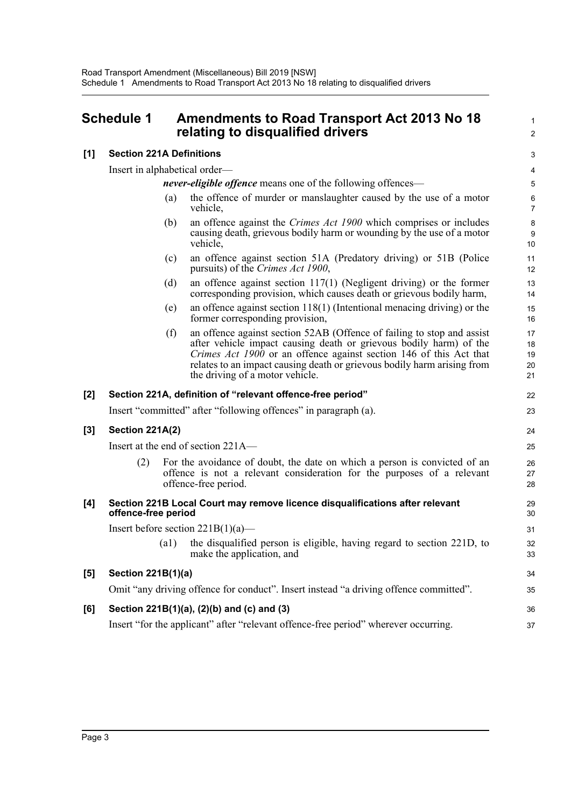## <span id="page-6-0"></span>**Schedule 1 Amendments to Road Transport Act 2013 No 18 relating to disqualified drivers**

### **[1] Section 221A Definitions**

Insert in alphabetical order—

*never-eligible offence* means one of the following offences—

(a) the offence of murder or manslaughter caused by the use of a motor vehicle,

1  $\mathcal{L}$ 

34 35

36 37

- (b) an offence against the *Crimes Act 1900* which comprises or includes causing death, grievous bodily harm or wounding by the use of a motor vehicle,
- (c) an offence against section 51A (Predatory driving) or 51B (Police pursuits) of the *Crimes Act 1900*,
- (d) an offence against section 117(1) (Negligent driving) or the former corresponding provision, which causes death or grievous bodily harm,
- (e) an offence against section 118(1) (Intentional menacing driving) or the former corresponding provision,
- (f) an offence against section 52AB (Offence of failing to stop and assist after vehicle impact causing death or grievous bodily harm) of the *Crimes Act 1900* or an offence against section 146 of this Act that relates to an impact causing death or grievous bodily harm arising from the driving of a motor vehicle.

### **[2] Section 221A, definition of "relevant offence-free period"**

Insert "committed" after "following offences" in paragraph (a).

#### **[3] Section 221A(2)**

Insert at the end of section 221A—

(2) For the avoidance of doubt, the date on which a person is convicted of an offence is not a relevant consideration for the purposes of a relevant offence-free period.

#### **[4] Section 221B Local Court may remove licence disqualifications after relevant offence-free period**

Insert before section  $221B(1)(a)$ —

(a1) the disqualified person is eligible, having regard to section 221D, to make the application, and

### **[5] Section 221B(1)(a)**

Omit "any driving offence for conduct". Insert instead "a driving offence committed".

### **[6] Section 221B(1)(a), (2)(b) and (c) and (3)**

Insert "for the applicant" after "relevant offence-free period" wherever occurring.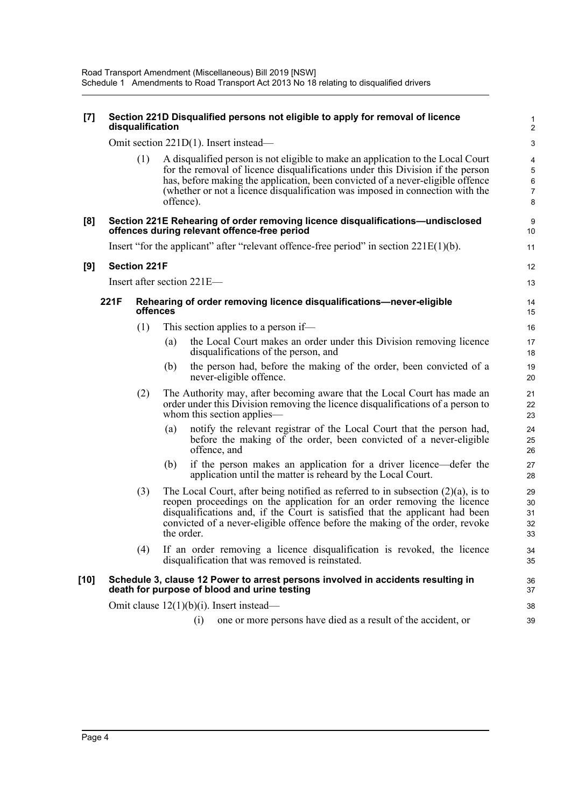| $[7]$                                 |                                                                                          | disqualification           |            |     | Section 221D Disqualified persons not eligible to apply for removal of licence                                                                                                                                                                                                                                                       | 1<br>$\overline{2}$                                         |
|---------------------------------------|------------------------------------------------------------------------------------------|----------------------------|------------|-----|--------------------------------------------------------------------------------------------------------------------------------------------------------------------------------------------------------------------------------------------------------------------------------------------------------------------------------------|-------------------------------------------------------------|
| Omit section 221D(1). Insert instead— |                                                                                          |                            |            |     |                                                                                                                                                                                                                                                                                                                                      | $\ensuremath{\mathsf{3}}$                                   |
|                                       |                                                                                          | (1)                        | offence).  |     | A disqualified person is not eligible to make an application to the Local Court<br>for the removal of licence disqualifications under this Division if the person<br>has, before making the application, been convicted of a never-eligible offence<br>(whether or not a licence disqualification was imposed in connection with the | 4<br>$\mathbf 5$<br>$\boldsymbol{6}$<br>$\overline{7}$<br>8 |
| [8]                                   |                                                                                          |                            |            |     | Section 221E Rehearing of order removing licence disqualifications—undisclosed<br>offences during relevant offence-free period                                                                                                                                                                                                       | 9<br>10                                                     |
|                                       |                                                                                          |                            |            |     | Insert "for the applicant" after "relevant offence-free period" in section $221E(1)(b)$ .                                                                                                                                                                                                                                            | 11                                                          |
| [9]                                   |                                                                                          | <b>Section 221F</b>        |            |     |                                                                                                                                                                                                                                                                                                                                      | 12                                                          |
|                                       |                                                                                          | Insert after section 221E- |            |     |                                                                                                                                                                                                                                                                                                                                      | 13                                                          |
|                                       | 221F<br>Rehearing of order removing licence disqualifications-never-eligible<br>offences |                            |            |     |                                                                                                                                                                                                                                                                                                                                      | 14<br>15                                                    |
|                                       |                                                                                          | (1)                        |            |     | This section applies to a person if—                                                                                                                                                                                                                                                                                                 | 16                                                          |
|                                       |                                                                                          |                            | (a)        |     | the Local Court makes an order under this Division removing licence<br>disqualifications of the person, and                                                                                                                                                                                                                          | 17<br>18                                                    |
|                                       |                                                                                          |                            | (b)        |     | the person had, before the making of the order, been convicted of a<br>never-eligible offence.                                                                                                                                                                                                                                       | 19<br>20                                                    |
|                                       |                                                                                          | (2)                        |            |     | The Authority may, after becoming aware that the Local Court has made an<br>order under this Division removing the licence disqualifications of a person to<br>whom this section applies—                                                                                                                                            | 21<br>22<br>23                                              |
|                                       |                                                                                          |                            | (a)        |     | notify the relevant registrar of the Local Court that the person had,<br>before the making of the order, been convicted of a never-eligible<br>offence, and                                                                                                                                                                          | 24<br>25<br>26                                              |
|                                       |                                                                                          |                            | (b)        |     | if the person makes an application for a driver licence—defer the<br>application until the matter is reheard by the Local Court.                                                                                                                                                                                                     | 27<br>28                                                    |
|                                       |                                                                                          | (3)                        | the order. |     | The Local Court, after being notified as referred to in subsection $(2)(a)$ , is to<br>reopen proceedings on the application for an order removing the licence<br>disqualifications and, if the Court is satisfied that the applicant had been<br>convicted of a never-eligible offence before the making of the order, revoke       | 29<br>30<br>31<br>32<br>33                                  |
|                                       |                                                                                          | (4)                        |            |     | If an order removing a licence disqualification is revoked, the licence<br>disqualification that was removed is reinstated.                                                                                                                                                                                                          | 34<br>35                                                    |
| [10]                                  |                                                                                          |                            |            |     | Schedule 3, clause 12 Power to arrest persons involved in accidents resulting in<br>death for purpose of blood and urine testing                                                                                                                                                                                                     | 36<br>37                                                    |
|                                       |                                                                                          |                            |            |     | Omit clause $12(1)(b)(i)$ . Insert instead—                                                                                                                                                                                                                                                                                          | 38                                                          |
|                                       |                                                                                          |                            |            | (i) | one or more persons have died as a result of the accident, or                                                                                                                                                                                                                                                                        | 39                                                          |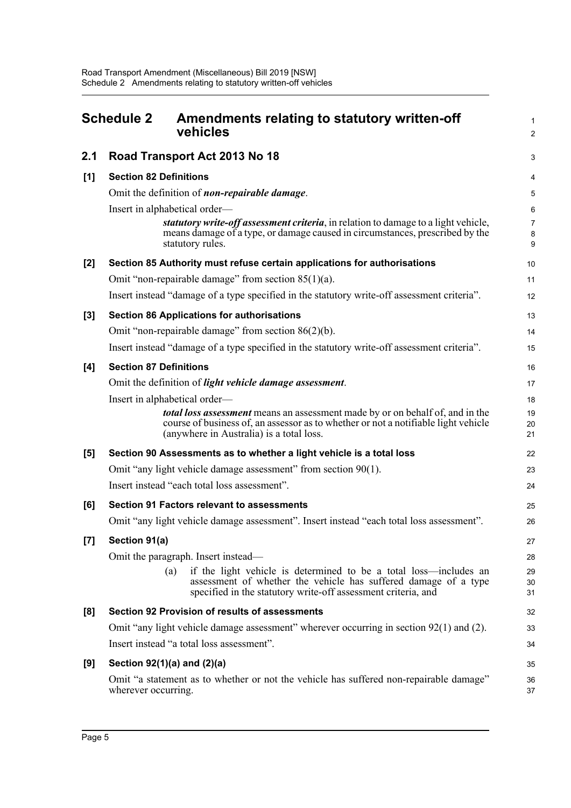<span id="page-8-0"></span>

|       | <b>Schedule 2</b>             | Amendments relating to statutory written-off<br>vehicles                                                                                                                                                                | $\mathbf{1}$<br>$\overline{c}$ |  |  |  |
|-------|-------------------------------|-------------------------------------------------------------------------------------------------------------------------------------------------------------------------------------------------------------------------|--------------------------------|--|--|--|
| 2.1   |                               | Road Transport Act 2013 No 18                                                                                                                                                                                           | 3                              |  |  |  |
| [1]   |                               | <b>Section 82 Definitions</b>                                                                                                                                                                                           |                                |  |  |  |
|       |                               | Omit the definition of non-repairable damage.                                                                                                                                                                           |                                |  |  |  |
|       |                               | Insert in alphabetical order—<br>statutory write-off assessment criteria, in relation to damage to a light vehicle,<br>means damage of a type, or damage caused in circumstances, prescribed by the<br>statutory rules. | 6<br>$\overline{7}$<br>8<br>9  |  |  |  |
| [2]   |                               | Section 85 Authority must refuse certain applications for authorisations                                                                                                                                                | 10                             |  |  |  |
|       |                               | Omit "non-repairable damage" from section $85(1)(a)$ .                                                                                                                                                                  | 11                             |  |  |  |
|       |                               | Insert instead "damage of a type specified in the statutory write-off assessment criteria".                                                                                                                             | 12                             |  |  |  |
| $[3]$ |                               | <b>Section 86 Applications for authorisations</b>                                                                                                                                                                       | 13                             |  |  |  |
|       |                               | Omit "non-repairable damage" from section $86(2)(b)$ .                                                                                                                                                                  | 14                             |  |  |  |
|       |                               | Insert instead "damage of a type specified in the statutory write-off assessment criteria".                                                                                                                             | 15                             |  |  |  |
| [4]   | <b>Section 87 Definitions</b> |                                                                                                                                                                                                                         | 16                             |  |  |  |
|       |                               | Omit the definition of light vehicle damage assessment.                                                                                                                                                                 | 17                             |  |  |  |
|       |                               | Insert in alphabetical order—                                                                                                                                                                                           | 18                             |  |  |  |
|       |                               | <b>total loss assessment</b> means an assessment made by or on behalf of, and in the<br>course of business of, an assessor as to whether or not a notifiable light vehicle<br>(anywhere in Australia) is a total loss.  | 19<br>20<br>21                 |  |  |  |
| [5]   |                               | Section 90 Assessments as to whether a light vehicle is a total loss                                                                                                                                                    | 22                             |  |  |  |
|       |                               | Omit "any light vehicle damage assessment" from section 90(1).                                                                                                                                                          | 23                             |  |  |  |
|       |                               | Insert instead "each total loss assessment".                                                                                                                                                                            | 24                             |  |  |  |
| [6]   |                               | <b>Section 91 Factors relevant to assessments</b>                                                                                                                                                                       | 25                             |  |  |  |
|       |                               | Omit "any light vehicle damage assessment". Insert instead "each total loss assessment".                                                                                                                                | 26                             |  |  |  |
| [7]   | Section 91(a)                 |                                                                                                                                                                                                                         | 27                             |  |  |  |
|       |                               | Omit the paragraph. Insert instead—                                                                                                                                                                                     | 28                             |  |  |  |
|       |                               | if the light vehicle is determined to be a total loss—includes an<br>(a)<br>assessment of whether the vehicle has suffered damage of a type<br>specified in the statutory write-off assessment criteria, and            | 29<br>30<br>31                 |  |  |  |
| [8]   |                               | <b>Section 92 Provision of results of assessments</b>                                                                                                                                                                   | 32                             |  |  |  |
|       |                               | Omit "any light vehicle damage assessment" wherever occurring in section $92(1)$ and (2).                                                                                                                               | 33                             |  |  |  |
|       |                               | Insert instead "a total loss assessment".                                                                                                                                                                               | 34                             |  |  |  |
| [9]   |                               | Section 92(1)(a) and (2)(a)                                                                                                                                                                                             | 35                             |  |  |  |
|       | wherever occurring.           | Omit "a statement as to whether or not the vehicle has suffered non-repairable damage"                                                                                                                                  | 36<br>37                       |  |  |  |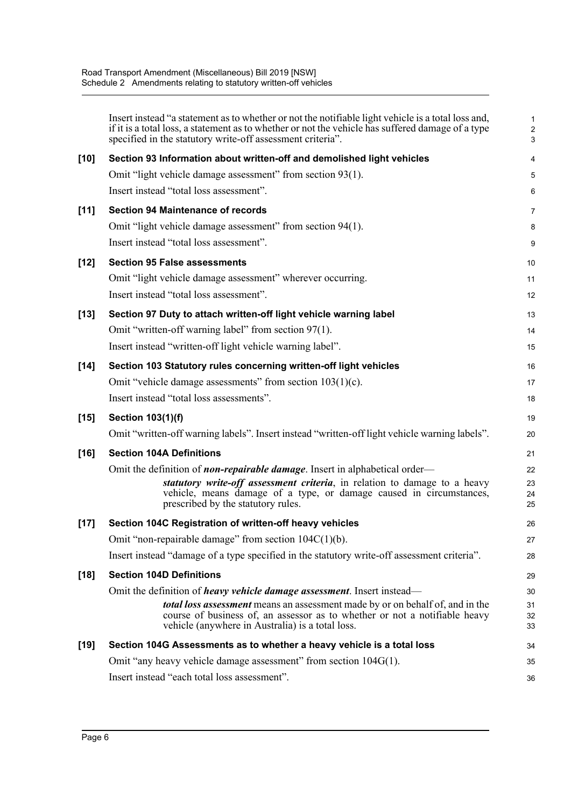|        | Insert instead "a statement as to whether or not the notifiable light vehicle is a total loss and,<br>if it is a total loss, a statement as to whether or not the vehicle has suffered damage of a type<br>specified in the statutory write-off assessment criteria". | 1<br>$\overline{\mathbf{c}}$<br>3 |
|--------|-----------------------------------------------------------------------------------------------------------------------------------------------------------------------------------------------------------------------------------------------------------------------|-----------------------------------|
| $[10]$ | Section 93 Information about written-off and demolished light vehicles                                                                                                                                                                                                | 4                                 |
|        | Omit "light vehicle damage assessment" from section 93(1).                                                                                                                                                                                                            | 5                                 |
|        | Insert instead "total loss assessment".                                                                                                                                                                                                                               | 6                                 |
| $[11]$ | <b>Section 94 Maintenance of records</b>                                                                                                                                                                                                                              | 7                                 |
|        | Omit "light vehicle damage assessment" from section 94(1).                                                                                                                                                                                                            | 8                                 |
|        | Insert instead "total loss assessment".                                                                                                                                                                                                                               | 9                                 |
| $[12]$ | <b>Section 95 False assessments</b>                                                                                                                                                                                                                                   | 10                                |
|        | Omit "light vehicle damage assessment" wherever occurring.                                                                                                                                                                                                            | 11                                |
|        | Insert instead "total loss assessment".                                                                                                                                                                                                                               | 12                                |
| $[13]$ | Section 97 Duty to attach written-off light vehicle warning label                                                                                                                                                                                                     | 13                                |
|        | Omit "written-off warning label" from section 97(1).                                                                                                                                                                                                                  | 14                                |
|        | Insert instead "written-off light vehicle warning label".                                                                                                                                                                                                             | 15                                |
| $[14]$ | Section 103 Statutory rules concerning written-off light vehicles                                                                                                                                                                                                     | 16                                |
|        | Omit "vehicle damage assessments" from section $103(1)(c)$ .                                                                                                                                                                                                          | 17                                |
|        | Insert instead "total loss assessments".                                                                                                                                                                                                                              | 18                                |
| $[15]$ | <b>Section 103(1)(f)</b>                                                                                                                                                                                                                                              | 19                                |
|        | Omit "written-off warning labels". Insert instead "written-off light vehicle warning labels".                                                                                                                                                                         | 20                                |
| $[16]$ | <b>Section 104A Definitions</b>                                                                                                                                                                                                                                       | 21                                |
|        | Omit the definition of <b>non-repairable damage</b> . Insert in alphabetical order—                                                                                                                                                                                   | 22                                |
|        | statutory write-off assessment criteria, in relation to damage to a heavy<br>vehicle, means damage of a type, or damage caused in circumstances,<br>prescribed by the statutory rules.                                                                                | 23<br>24<br>25                    |
| $[17]$ | Section 104C Registration of written-off heavy vehicles                                                                                                                                                                                                               | 26                                |
|        | Omit "non-repairable damage" from section 104C(1)(b).                                                                                                                                                                                                                 | 27                                |
|        | Insert instead "damage of a type specified in the statutory write-off assessment criteria".                                                                                                                                                                           | 28                                |
| $[18]$ | <b>Section 104D Definitions</b>                                                                                                                                                                                                                                       | 29                                |
|        | Omit the definition of <i>heavy vehicle damage assessment</i> . Insert instead-                                                                                                                                                                                       | 30                                |
|        | total loss assessment means an assessment made by or on behalf of, and in the<br>course of business of, an assessor as to whether or not a notifiable heavy<br>vehicle (anywhere in Australia) is a total loss.                                                       | 31<br>32<br>33                    |
| $[19]$ | Section 104G Assessments as to whether a heavy vehicle is a total loss                                                                                                                                                                                                | 34                                |
|        | Omit "any heavy vehicle damage assessment" from section 104G(1).                                                                                                                                                                                                      | 35                                |
|        | Insert instead "each total loss assessment".                                                                                                                                                                                                                          | 36                                |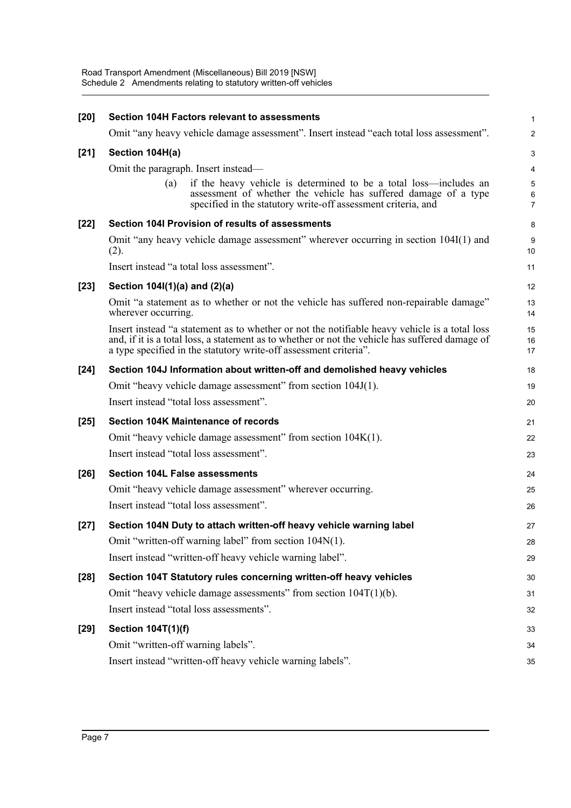| $[20]$ | Section 104H Factors relevant to assessments                                                                                                                                                                                                                          | 1              |
|--------|-----------------------------------------------------------------------------------------------------------------------------------------------------------------------------------------------------------------------------------------------------------------------|----------------|
|        | Omit "any heavy vehicle damage assessment". Insert instead "each total loss assessment".                                                                                                                                                                              | $\overline{a}$ |
| $[21]$ | Section 104H(a)                                                                                                                                                                                                                                                       | 3              |
|        | Omit the paragraph. Insert instead—                                                                                                                                                                                                                                   | 4              |
|        | if the heavy vehicle is determined to be a total loss—includes an<br>(a)<br>assessment of whether the vehicle has suffered damage of a type<br>specified in the statutory write-off assessment criteria, and                                                          | 5<br>6<br>7    |
| $[22]$ | Section 104I Provision of results of assessments                                                                                                                                                                                                                      | 8              |
|        | Omit "any heavy vehicle damage assessment" wherever occurring in section 104I(1) and<br>(2).                                                                                                                                                                          | 9<br>10        |
|        | Insert instead "a total loss assessment".                                                                                                                                                                                                                             | 11             |
| $[23]$ | Section 104I(1)(a) and (2)(a)                                                                                                                                                                                                                                         | 12             |
|        | Omit "a statement as to whether or not the vehicle has suffered non-repairable damage"<br>wherever occurring.                                                                                                                                                         | 13<br>14       |
|        | Insert instead "a statement as to whether or not the notifiable heavy vehicle is a total loss<br>and, if it is a total loss, a statement as to whether or not the vehicle has suffered damage of<br>a type specified in the statutory write-off assessment criteria". | 15<br>16<br>17 |
| $[24]$ | Section 104J Information about written-off and demolished heavy vehicles                                                                                                                                                                                              | 18             |
|        | Omit "heavy vehicle damage assessment" from section 104J(1).                                                                                                                                                                                                          | 19             |
|        | Insert instead "total loss assessment".                                                                                                                                                                                                                               | 20             |
| $[25]$ | <b>Section 104K Maintenance of records</b>                                                                                                                                                                                                                            | 21             |
|        | Omit "heavy vehicle damage assessment" from section 104K(1).                                                                                                                                                                                                          | 22             |
|        | Insert instead "total loss assessment".                                                                                                                                                                                                                               | 23             |
| $[26]$ | <b>Section 104L False assessments</b>                                                                                                                                                                                                                                 | 24             |
|        | Omit "heavy vehicle damage assessment" wherever occurring.                                                                                                                                                                                                            | 25             |
|        | Insert instead "total loss assessment".                                                                                                                                                                                                                               | 26             |
| $[27]$ | Section 104N Duty to attach written-off heavy vehicle warning label                                                                                                                                                                                                   | 27             |
|        | Omit "written-off warning label" from section 104N(1).                                                                                                                                                                                                                | 28             |
|        | Insert instead "written-off heavy vehicle warning label".                                                                                                                                                                                                             | 29             |
| $[28]$ | Section 104T Statutory rules concerning written-off heavy vehicles                                                                                                                                                                                                    | 30             |
|        | Omit "heavy vehicle damage assessments" from section $104T(1)(b)$ .                                                                                                                                                                                                   | 31             |
|        | Insert instead "total loss assessments".                                                                                                                                                                                                                              | 32             |
| $[29]$ | <b>Section 104T(1)(f)</b>                                                                                                                                                                                                                                             | 33             |
|        | Omit "written-off warning labels".                                                                                                                                                                                                                                    | 34             |
|        | Insert instead "written-off heavy vehicle warning labels".                                                                                                                                                                                                            | 35             |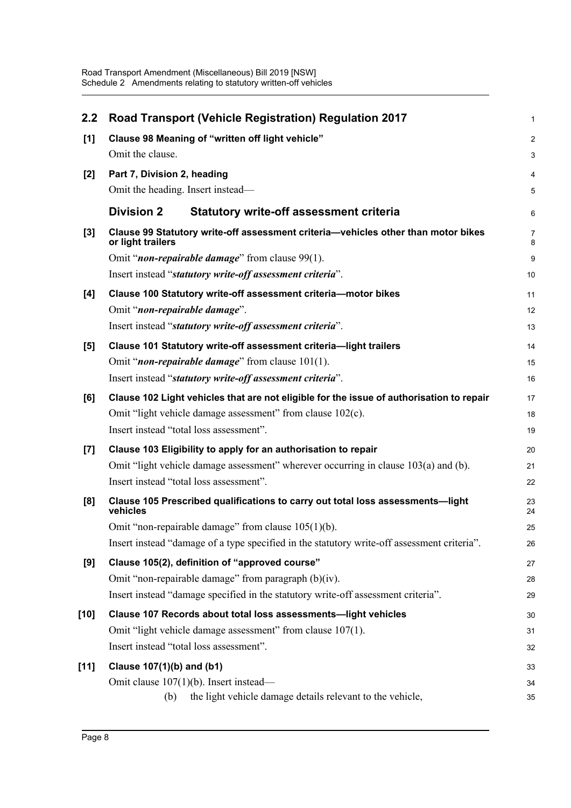| 2.2    | <b>Road Transport (Vehicle Registration) Regulation 2017</b>                                           | 1              |
|--------|--------------------------------------------------------------------------------------------------------|----------------|
| [1]    | Clause 98 Meaning of "written off light vehicle"                                                       | $\overline{c}$ |
|        | Omit the clause.                                                                                       | 3              |
| $[2]$  | Part 7, Division 2, heading                                                                            | 4              |
|        | Omit the heading. Insert instead-                                                                      | 5              |
|        | <b>Division 2</b><br><b>Statutory write-off assessment criteria</b>                                    | 6              |
| $[3]$  | Clause 99 Statutory write-off assessment criteria-vehicles other than motor bikes<br>or light trailers | 7<br>8         |
|        | Omit " <i>non-repairable damage</i> " from clause 99(1).                                               | 9              |
|        | Insert instead "statutory write-off assessment criteria".                                              | 10             |
| [4]    | Clause 100 Statutory write-off assessment criteria-motor bikes                                         | 11             |
|        | Omit "non-repairable damage".                                                                          | 12             |
|        | Insert instead "statutory write-off assessment criteria".                                              | 13             |
| [5]    | Clause 101 Statutory write-off assessment criteria-light trailers                                      | 14             |
|        | Omit " <i>non-repairable damage</i> " from clause $101(1)$ .                                           | 15             |
|        | Insert instead "statutory write-off assessment criteria".                                              | 16             |
| [6]    | Clause 102 Light vehicles that are not eligible for the issue of authorisation to repair               | 17             |
|        | Omit "light vehicle damage assessment" from clause 102(c).                                             | 18             |
|        | Insert instead "total loss assessment".                                                                | 19             |
| $[7]$  | Clause 103 Eligibility to apply for an authorisation to repair                                         | 20             |
|        | Omit "light vehicle damage assessment" wherever occurring in clause 103(a) and (b).                    | 21             |
|        | Insert instead "total loss assessment".                                                                | 22             |
| [8]    | Clause 105 Prescribed qualifications to carry out total loss assessments-light<br>vehicles             | 23<br>24       |
|        | Omit "non-repairable damage" from clause $105(1)(b)$ .                                                 | 25             |
|        | Insert instead "damage of a type specified in the statutory write-off assessment criteria".            | 26             |
| [9]    | Clause 105(2), definition of "approved course"                                                         | 27             |
|        | Omit "non-repairable damage" from paragraph (b)(iv).                                                   | 28             |
|        | Insert instead "damage specified in the statutory write-off assessment criteria".                      | 29             |
| $[10]$ | Clause 107 Records about total loss assessments-light vehicles                                         | 30             |
|        | Omit "light vehicle damage assessment" from clause 107(1).                                             | 31             |
|        | Insert instead "total loss assessment".                                                                | 32             |
| $[11]$ | Clause 107(1)(b) and (b1)                                                                              | 33             |
|        | Omit clause $107(1)(b)$ . Insert instead—                                                              | 34             |
|        | the light vehicle damage details relevant to the vehicle,<br>(b)                                       | 35             |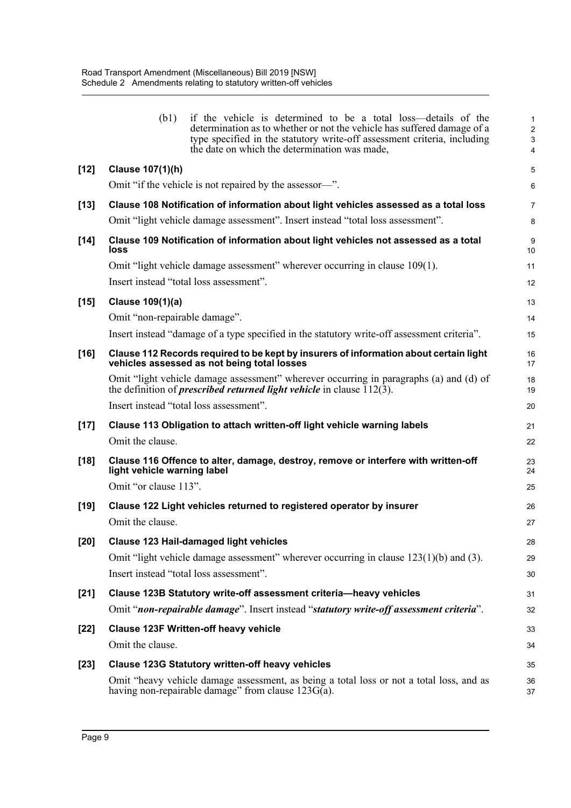|        | (b1)<br>if the vehicle is determined to be a total loss—details of the<br>determination as to whether or not the vehicle has suffered damage of a<br>type specified in the statutory write-off assessment criteria, including<br>the date on which the determination was made, | 1<br>$\overline{\mathbf{c}}$<br>3<br>4 |
|--------|--------------------------------------------------------------------------------------------------------------------------------------------------------------------------------------------------------------------------------------------------------------------------------|----------------------------------------|
| $[12]$ | Clause 107(1)(h)                                                                                                                                                                                                                                                               | 5                                      |
|        | Omit "if the vehicle is not repaired by the assessor—".                                                                                                                                                                                                                        | 6                                      |
| $[13]$ | Clause 108 Notification of information about light vehicles assessed as a total loss                                                                                                                                                                                           | 7                                      |
|        | Omit "light vehicle damage assessment". Insert instead "total loss assessment".                                                                                                                                                                                                | 8                                      |
| $[14]$ | Clause 109 Notification of information about light vehicles not assessed as a total<br>loss                                                                                                                                                                                    | 9<br>10                                |
|        | Omit "light vehicle damage assessment" wherever occurring in clause 109(1).                                                                                                                                                                                                    | 11                                     |
|        | Insert instead "total loss assessment".                                                                                                                                                                                                                                        | 12                                     |
| $[15]$ | Clause 109(1)(a)                                                                                                                                                                                                                                                               | 13                                     |
|        | Omit "non-repairable damage".                                                                                                                                                                                                                                                  | 14                                     |
|        | Insert instead "damage of a type specified in the statutory write-off assessment criteria".                                                                                                                                                                                    | 15                                     |
| $[16]$ | Clause 112 Records required to be kept by insurers of information about certain light<br>vehicles assessed as not being total losses                                                                                                                                           | 16<br>17                               |
|        | Omit "light vehicle damage assessment" wherever occurring in paragraphs (a) and (d) of<br>the definition of <i>prescribed returned light vehicle</i> in clause $\overline{112(3)}$ .                                                                                           | 18<br>19                               |
|        | Insert instead "total loss assessment".                                                                                                                                                                                                                                        | 20                                     |
| $[17]$ | Clause 113 Obligation to attach written-off light vehicle warning labels                                                                                                                                                                                                       | 21                                     |
|        | Omit the clause.                                                                                                                                                                                                                                                               | 22                                     |
| $[18]$ | Clause 116 Offence to alter, damage, destroy, remove or interfere with written-off<br>light vehicle warning label                                                                                                                                                              | 23<br>24                               |
|        | Omit "or clause 113".                                                                                                                                                                                                                                                          | 25                                     |
| $[19]$ | Clause 122 Light vehicles returned to registered operator by insurer                                                                                                                                                                                                           | 26                                     |
|        | Omit the clause.                                                                                                                                                                                                                                                               | 27                                     |
| $[20]$ | Clause 123 Hail-damaged light vehicles                                                                                                                                                                                                                                         | 28                                     |
|        | Omit "light vehicle damage assessment" wherever occurring in clause $123(1)(b)$ and (3).                                                                                                                                                                                       | 29                                     |
|        | Insert instead "total loss assessment".                                                                                                                                                                                                                                        | 30                                     |
| $[21]$ | Clause 123B Statutory write-off assessment criteria-heavy vehicles                                                                                                                                                                                                             | 31                                     |
|        | Omit "non-repairable damage". Insert instead "statutory write-off assessment criteria".                                                                                                                                                                                        | 32                                     |
| $[22]$ | <b>Clause 123F Written-off heavy vehicle</b>                                                                                                                                                                                                                                   | 33                                     |
|        | Omit the clause.                                                                                                                                                                                                                                                               | 34                                     |
| $[23]$ | <b>Clause 123G Statutory written-off heavy vehicles</b>                                                                                                                                                                                                                        | 35                                     |
|        | Omit "heavy vehicle damage assessment, as being a total loss or not a total loss, and as<br>having non-repairable damage" from clause $123G(a)$ .                                                                                                                              | 36<br>37                               |
|        |                                                                                                                                                                                                                                                                                |                                        |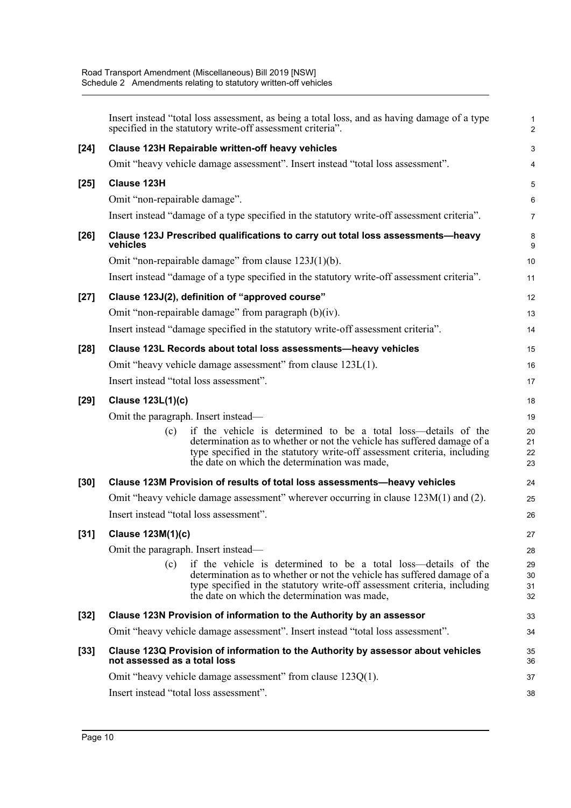|        | Insert instead "total loss assessment, as being a total loss, and as having damage of a type<br>specified in the statutory write-off assessment criteria".                                                                                                                    | 1<br>$\overline{a}$  |
|--------|-------------------------------------------------------------------------------------------------------------------------------------------------------------------------------------------------------------------------------------------------------------------------------|----------------------|
| $[24]$ | Clause 123H Repairable written-off heavy vehicles                                                                                                                                                                                                                             | 3                    |
|        | Omit "heavy vehicle damage assessment". Insert instead "total loss assessment".                                                                                                                                                                                               | 4                    |
| $[25]$ | Clause 123H                                                                                                                                                                                                                                                                   | 5                    |
|        | Omit "non-repairable damage".                                                                                                                                                                                                                                                 | 6                    |
|        | Insert instead "damage of a type specified in the statutory write-off assessment criteria".                                                                                                                                                                                   | 7                    |
| $[26]$ | Clause 123J Prescribed qualifications to carry out total loss assessments-heavy<br>vehicles                                                                                                                                                                                   | 8<br>9               |
|        | Omit "non-repairable damage" from clause $123J(1)(b)$ .                                                                                                                                                                                                                       | 10                   |
|        | Insert instead "damage of a type specified in the statutory write-off assessment criteria".                                                                                                                                                                                   | 11                   |
| $[27]$ | Clause 123J(2), definition of "approved course"                                                                                                                                                                                                                               | 12                   |
|        | Omit "non-repairable damage" from paragraph (b)(iv).                                                                                                                                                                                                                          | 13                   |
|        | Insert instead "damage specified in the statutory write-off assessment criteria".                                                                                                                                                                                             | 14                   |
| $[28]$ | Clause 123L Records about total loss assessments-heavy vehicles                                                                                                                                                                                                               | 15                   |
|        | Omit "heavy vehicle damage assessment" from clause 123L(1).                                                                                                                                                                                                                   | 16                   |
|        | Insert instead "total loss assessment".                                                                                                                                                                                                                                       | 17                   |
| $[29]$ | Clause 123L(1)(c)                                                                                                                                                                                                                                                             | 18                   |
|        | Omit the paragraph. Insert instead—                                                                                                                                                                                                                                           | 19                   |
|        | if the vehicle is determined to be a total loss—details of the<br>(c)<br>determination as to whether or not the vehicle has suffered damage of a<br>type specified in the statutory write-off assessment criteria, including<br>the date on which the determination was made, | 20<br>21<br>22<br>23 |
| $[30]$ | Clause 123M Provision of results of total loss assessments-heavy vehicles                                                                                                                                                                                                     | 24                   |
|        | Omit "heavy vehicle damage assessment" wherever occurring in clause $123M(1)$ and (2).                                                                                                                                                                                        | 25                   |
|        | Insert instead "total loss assessment".                                                                                                                                                                                                                                       | 26                   |
| $[31]$ | Clause 123M(1)(c)                                                                                                                                                                                                                                                             | 27                   |
|        | Omit the paragraph. Insert instead—                                                                                                                                                                                                                                           | 28                   |
|        | if the vehicle is determined to be a total loss—details of the<br>(c)<br>determination as to whether or not the vehicle has suffered damage of a<br>type specified in the statutory write-off assessment criteria, including<br>the date on which the determination was made, | 29<br>30<br>31<br>32 |
| $[32]$ | Clause 123N Provision of information to the Authority by an assessor                                                                                                                                                                                                          | 33                   |
|        | Omit "heavy vehicle damage assessment". Insert instead "total loss assessment".                                                                                                                                                                                               | 34                   |
| $[33]$ | Clause 123Q Provision of information to the Authority by assessor about vehicles<br>not assessed as a total loss                                                                                                                                                              | 35<br>36             |
|        | Omit "heavy vehicle damage assessment" from clause 123Q(1).                                                                                                                                                                                                                   | 37                   |
|        | Insert instead "total loss assessment".                                                                                                                                                                                                                                       | 38                   |
|        |                                                                                                                                                                                                                                                                               |                      |